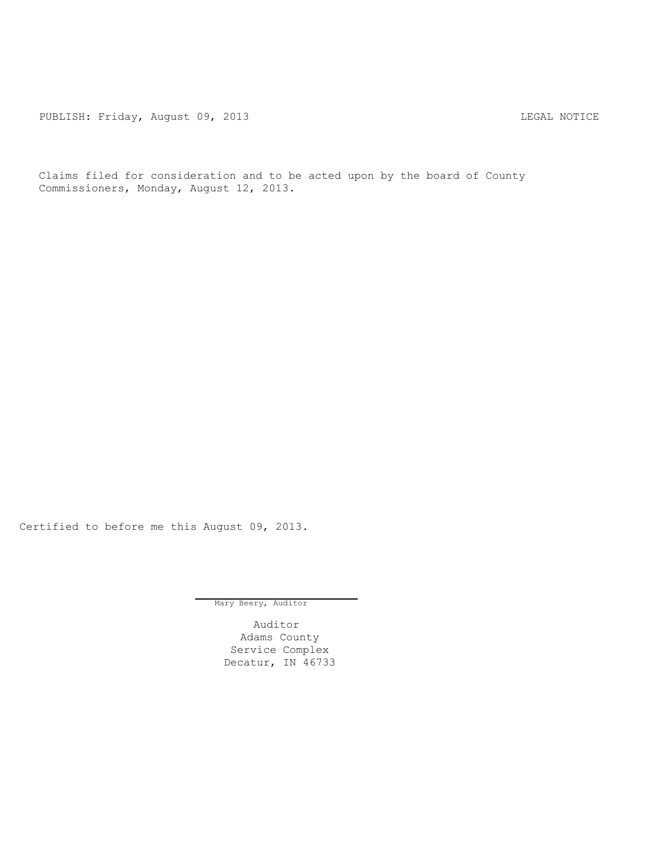PUBLISH: Friday, August 09, 2013 CHARL MOTICE

Claims filed for consideration and to be acted upon by the board of County Commissioners, Monday, August 12, 2013.

Certified to before me this August 09, 2013.

Mary Beery, Auditor

Auditor Adams County Service Complex Decatur, IN 46733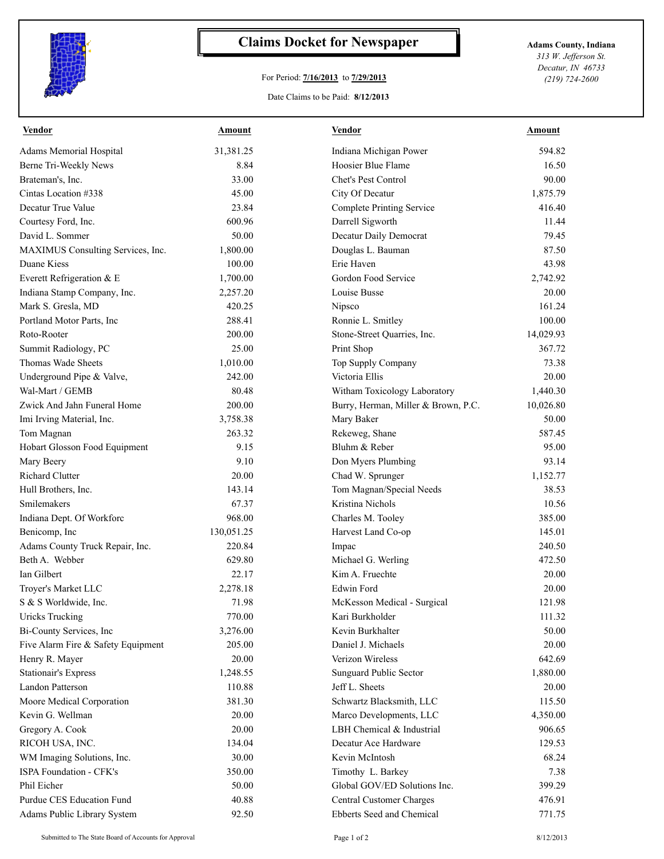

## **Claims Docket for Newspaper Adams County, Indiana**

## For Period: **7/16/2013** to **7/29/2013**

*313 W. Jefferson St. Decatur, IN 46733 (219) 724-2600*

## Date Claims to be Paid: **8/12/2013**

| <b>Vendor</b>                      | Amount     | <b>Vendor</b>                       | Amount    |
|------------------------------------|------------|-------------------------------------|-----------|
| Adams Memorial Hospital            | 31,381.25  | Indiana Michigan Power              | 594.82    |
| Berne Tri-Weekly News              | 8.84       | Hoosier Blue Flame                  | 16.50     |
| Brateman's, Inc.                   | 33.00      | Chet's Pest Control                 | 90.00     |
| Cintas Location #338               | 45.00      | City Of Decatur                     | 1,875.79  |
| Decatur True Value                 | 23.84      | <b>Complete Printing Service</b>    | 416.40    |
| Courtesy Ford, Inc.                | 600.96     | Darrell Sigworth                    | 11.44     |
| David L. Sommer                    | 50.00      | Decatur Daily Democrat              | 79.45     |
| MAXIMUS Consulting Services, Inc.  | 1,800.00   | Douglas L. Bauman                   | 87.50     |
| Duane Kiess                        | 100.00     | Erie Haven                          | 43.98     |
| Everett Refrigeration & E          | 1,700.00   | Gordon Food Service                 | 2,742.92  |
| Indiana Stamp Company, Inc.        | 2,257.20   | Louise Busse                        | 20.00     |
| Mark S. Gresla, MD                 | 420.25     | Nipsco                              | 161.24    |
| Portland Motor Parts, Inc.         | 288.41     | Ronnie L. Smitley                   | 100.00    |
| Roto-Rooter                        | 200.00     | Stone-Street Quarries, Inc.         | 14,029.93 |
| Summit Radiology, PC               | 25.00      | Print Shop                          | 367.72    |
| Thomas Wade Sheets                 | 1,010.00   | Top Supply Company                  | 73.38     |
| Underground Pipe & Valve,          | 242.00     | Victoria Ellis                      | 20.00     |
| Wal-Mart / GEMB                    | 80.48      | Witham Toxicology Laboratory        | 1,440.30  |
| Zwick And Jahn Funeral Home        | 200.00     | Burry, Herman, Miller & Brown, P.C. | 10,026.80 |
| Imi Irving Material, Inc.          | 3,758.38   | Mary Baker                          | 50.00     |
| Tom Magnan                         | 263.32     | Rekeweg, Shane                      | 587.45    |
| Hobart Glosson Food Equipment      | 9.15       | Bluhm & Reber                       | 95.00     |
| Mary Beery                         | 9.10       | Don Myers Plumbing                  | 93.14     |
| <b>Richard Clutter</b>             | 20.00      | Chad W. Sprunger                    | 1,152.77  |
| Hull Brothers, Inc.                | 143.14     | Tom Magnan/Special Needs            | 38.53     |
| Smilemakers                        | 67.37      | Kristina Nichols                    | 10.56     |
| Indiana Dept. Of Workforc          | 968.00     | Charles M. Tooley                   | 385.00    |
| Benicomp, Inc                      | 130,051.25 | Harvest Land Co-op                  | 145.01    |
| Adams County Truck Repair, Inc.    | 220.84     | Impac                               | 240.50    |
| Beth A. Webber                     | 629.80     | Michael G. Werling                  | 472.50    |
| Ian Gilbert                        | 22.17      | Kim A. Fruechte                     | 20.00     |
| Troyer's Market LLC                | 2,278.18   | Edwin Ford                          | 20.00     |
| S & S Worldwide, Inc.              | 71.98      | McKesson Medical - Surgical         | 121.98    |
| Uricks Trucking                    | 770.00     | Kari Burkholder                     | 111.32    |
| Bi-County Services, Inc            | 3,276.00   | Kevin Burkhalter                    | 50.00     |
| Five Alarm Fire & Safety Equipment | 205.00     | Daniel J. Michaels                  | 20.00     |
| Henry R. Mayer                     | 20.00      | Verizon Wireless                    | 642.69    |
| <b>Stationair's Express</b>        | 1,248.55   | Sunguard Public Sector              | 1,880.00  |
| Landon Patterson                   | 110.88     | Jeff L. Sheets                      | 20.00     |
| Moore Medical Corporation          | 381.30     | Schwartz Blacksmith, LLC            | 115.50    |
| Kevin G. Wellman                   | 20.00      | Marco Developments, LLC             | 4,350.00  |
| Gregory A. Cook                    | 20.00      | LBH Chemical & Industrial           | 906.65    |
| RICOH USA, INC.                    | 134.04     | Decatur Ace Hardware                | 129.53    |
| WM Imaging Solutions, Inc.         | 30.00      | Kevin McIntosh                      | 68.24     |
| ISPA Foundation - CFK's            | 350.00     | Timothy L. Barkey                   | 7.38      |
| Phil Eicher                        | 50.00      | Global GOV/ED Solutions Inc.        | 399.29    |
| Purdue CES Education Fund          | 40.88      | Central Customer Charges            | 476.91    |
| Adams Public Library System        | 92.50      | Ebberts Seed and Chemical           | 771.75    |
|                                    |            |                                     |           |